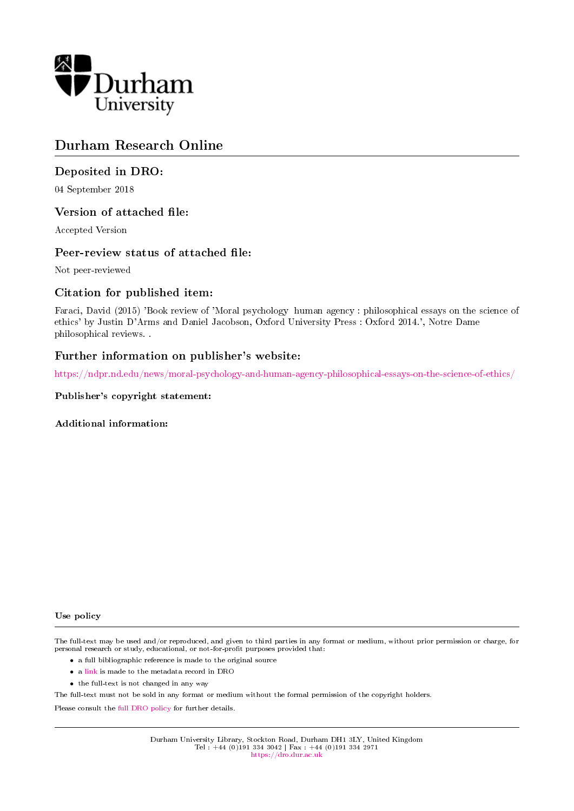

# Durham Research Online

### Deposited in DRO:

04 September 2018

### Version of attached file:

Accepted Version

### Peer-review status of attached file:

Not peer-reviewed

### Citation for published item:

Faraci, David (2015) 'Book review of 'Moral psychology human agency : philosophical essays on the science of ethics' by Justin D'Arms and Daniel Jacobson, Oxford University Press : Oxford 2014.', Notre Dame philosophical reviews. .

### Further information on publisher's website:

<https://ndpr.nd.edu/news/moral-psychology-and-human-agency-philosophical-essays-on-the-science-of-ethics/>

#### Publisher's copyright statement:

Additional information:

#### Use policy

The full-text may be used and/or reproduced, and given to third parties in any format or medium, without prior permission or charge, for personal research or study, educational, or not-for-profit purposes provided that:

- a full bibliographic reference is made to the original source
- a [link](http://dro.dur.ac.uk/26076/) is made to the metadata record in DRO
- the full-text is not changed in any way

The full-text must not be sold in any format or medium without the formal permission of the copyright holders.

Please consult the [full DRO policy](https://dro.dur.ac.uk/policies/usepolicy.pdf) for further details.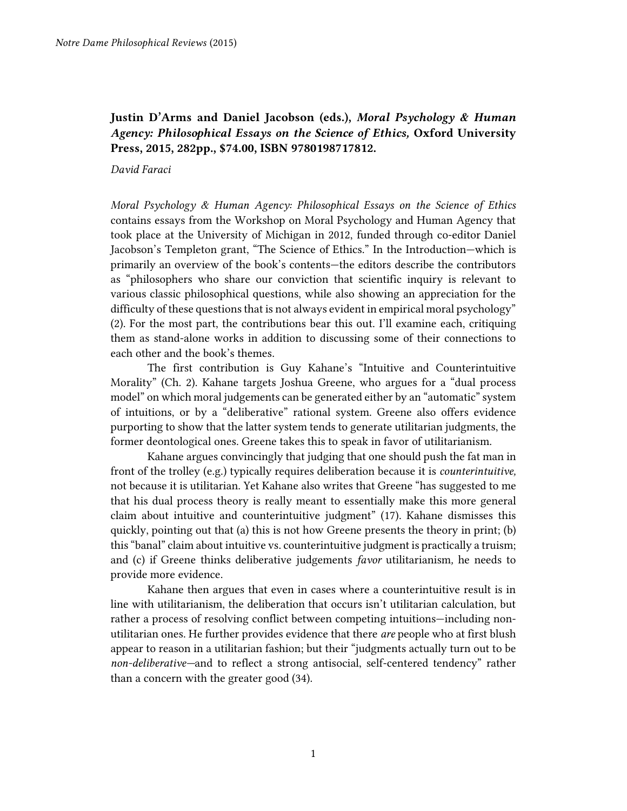## **Justin D'Arms and Daniel Jacobson (eds.),** *Moral Psychology & Human Agency: Philosophical Essays on the Science of Ethics,* **Oxford University Press, 2015, 282pp., \$74.00, ISBN 9780198717812.**

#### *David Faraci*

*Moral Psychology & Human Agency: Philosophical Essays on the Science of Ethics*  contains essays from the Workshop on Moral Psychology and Human Agency that took place at the University of Michigan in 2012, funded through co-editor Daniel Jacobson's Templeton grant, "The Science of Ethics." In the Introduction—which is primarily an overview of the book's contents—the editors describe the contributors as "philosophers who share our conviction that scientific inquiry is relevant to various classic philosophical questions, while also showing an appreciation for the difficulty of these questions that is not always evident in empirical moral psychology" (2). For the most part, the contributions bear this out. I'll examine each, critiquing them as stand-alone works in addition to discussing some of their connections to each other and the book's themes.

The first contribution is Guy Kahane's "Intuitive and Counterintuitive Morality" (Ch. 2). Kahane targets Joshua Greene, who argues for a "dual process model" on which moral judgements can be generated either by an "automatic" system of intuitions, or by a "deliberative" rational system. Greene also offers evidence purporting to show that the latter system tends to generate utilitarian judgments, the former deontological ones. Greene takes this to speak in favor of utilitarianism.

Kahane argues convincingly that judging that one should push the fat man in front of the trolley (e.g.) typically requires deliberation because it is *counterintuitive,*  not because it is utilitarian. Yet Kahane also writes that Greene "has suggested to me that his dual process theory is really meant to essentially make this more general claim about intuitive and counterintuitive judgment" (17). Kahane dismisses this quickly, pointing out that (a) this is not how Greene presents the theory in print; (b) this "banal" claim about intuitive vs. counterintuitive judgment is practically a truism; and (c) if Greene thinks deliberative judgements *favor* utilitarianism*,* he needs to provide more evidence.

Kahane then argues that even in cases where a counterintuitive result is in line with utilitarianism, the deliberation that occurs isn't utilitarian calculation, but rather a process of resolving conflict between competing intuitions—including nonutilitarian ones. He further provides evidence that there *are* people who at first blush appear to reason in a utilitarian fashion; but their "judgments actually turn out to be *non-deliberative—*and to reflect a strong antisocial, self-centered tendency" rather than a concern with the greater good (34).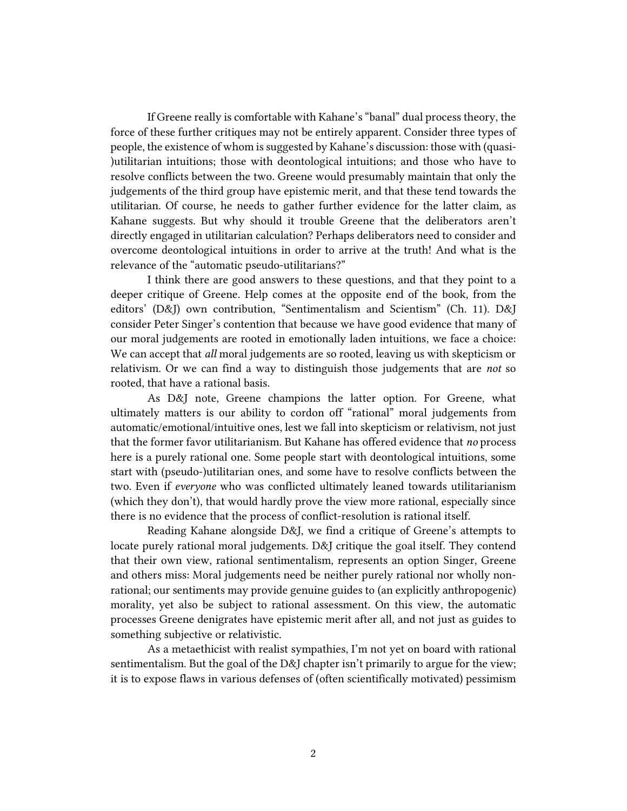If Greene really is comfortable with Kahane's "banal" dual process theory, the force of these further critiques may not be entirely apparent. Consider three types of people, the existence of whom is suggested by Kahane's discussion: those with (quasi- )utilitarian intuitions; those with deontological intuitions; and those who have to resolve conflicts between the two. Greene would presumably maintain that only the judgements of the third group have epistemic merit, and that these tend towards the utilitarian. Of course, he needs to gather further evidence for the latter claim, as Kahane suggests. But why should it trouble Greene that the deliberators aren't directly engaged in utilitarian calculation? Perhaps deliberators need to consider and overcome deontological intuitions in order to arrive at the truth! And what is the relevance of the "automatic pseudo-utilitarians?"

I think there are good answers to these questions, and that they point to a deeper critique of Greene. Help comes at the opposite end of the book, from the editors' (D&J) own contribution, "Sentimentalism and Scientism" (Ch. 11). D&J consider Peter Singer's contention that because we have good evidence that many of our moral judgements are rooted in emotionally laden intuitions, we face a choice: We can accept that *all* moral judgements are so rooted, leaving us with skepticism or relativism. Or we can find a way to distinguish those judgements that are *not* so rooted, that have a rational basis.

As D&J note, Greene champions the latter option. For Greene, what ultimately matters is our ability to cordon off "rational" moral judgements from automatic/emotional/intuitive ones, lest we fall into skepticism or relativism, not just that the former favor utilitarianism. But Kahane has offered evidence that *no* process here is a purely rational one. Some people start with deontological intuitions, some start with (pseudo-)utilitarian ones, and some have to resolve conflicts between the two. Even if *everyone* who was conflicted ultimately leaned towards utilitarianism (which they don't), that would hardly prove the view more rational, especially since there is no evidence that the process of conflict-resolution is rational itself.

Reading Kahane alongside D&J, we find a critique of Greene's attempts to locate purely rational moral judgements. D&J critique the goal itself. They contend that their own view, rational sentimentalism, represents an option Singer, Greene and others miss: Moral judgements need be neither purely rational nor wholly nonrational; our sentiments may provide genuine guides to (an explicitly anthropogenic) morality, yet also be subject to rational assessment. On this view, the automatic processes Greene denigrates have epistemic merit after all, and not just as guides to something subjective or relativistic.

As a metaethicist with realist sympathies, I'm not yet on board with rational sentimentalism. But the goal of the D&J chapter isn't primarily to argue for the view; it is to expose flaws in various defenses of (often scientifically motivated) pessimism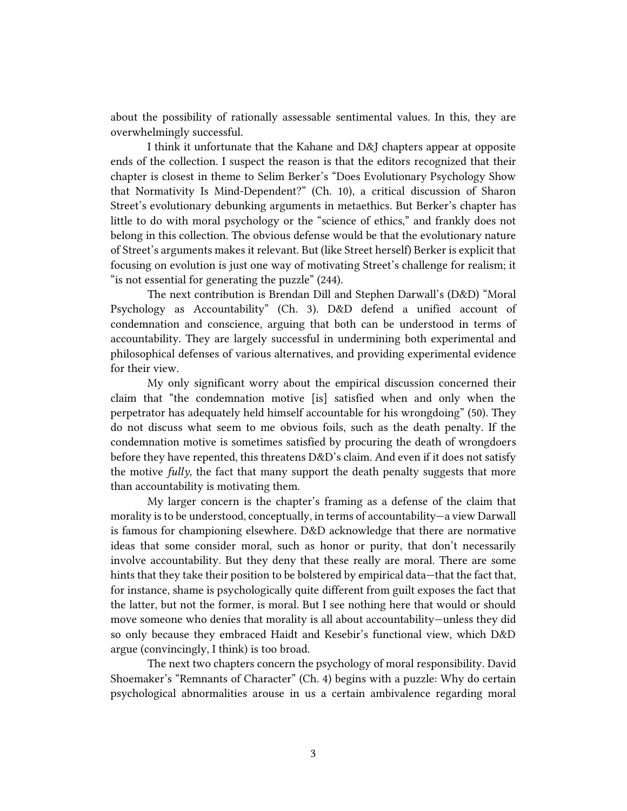about the possibility of rationally assessable sentimental values. In this, they are overwhelmingly successful.

I think it unfortunate that the Kahane and D&J chapters appear at opposite ends of the collection. I suspect the reason is that the editors recognized that their chapter is closest in theme to Selim Berker's "Does Evolutionary Psychology Show that Normativity Is Mind-Dependent?" (Ch. 10), a critical discussion of Sharon Street's evolutionary debunking arguments in metaethics. But Berker's chapter has little to do with moral psychology or the "science of ethics," and frankly does not belong in this collection. The obvious defense would be that the evolutionary nature of Street's arguments makes it relevant. But (like Street herself) Berker is explicit that focusing on evolution is just one way of motivating Street's challenge for realism; it "is not essential for generating the puzzle" (244).

The next contribution is Brendan Dill and Stephen Darwall's (D&D) "Moral Psychology as Accountability" (Ch. 3). D&D defend a unified account of condemnation and conscience, arguing that both can be understood in terms of accountability. They are largely successful in undermining both experimental and philosophical defenses of various alternatives, and providing experimental evidence for their view.

My only significant worry about the empirical discussion concerned their claim that "the condemnation motive [is] satisfied when and only when the perpetrator has adequately held himself accountable for his wrongdoing" (50). They do not discuss what seem to me obvious foils, such as the death penalty. If the condemnation motive is sometimes satisfied by procuring the death of wrongdoers before they have repented, this threatens D&D's claim. And even if it does not satisfy the motive *fully,* the fact that many support the death penalty suggests that more than accountability is motivating them.

My larger concern is the chapter's framing as a defense of the claim that morality is to be understood, conceptually, in terms of accountability—a view Darwall is famous for championing elsewhere. D&D acknowledge that there are normative ideas that some consider moral, such as honor or purity, that don't necessarily involve accountability. But they deny that these really are moral. There are some hints that they take their position to be bolstered by empirical data—that the fact that, for instance, shame is psychologically quite different from guilt exposes the fact that the latter, but not the former, is moral. But I see nothing here that would or should move someone who denies that morality is all about accountability—unless they did so only because they embraced Haidt and Kesebir's functional view, which D&D argue (convincingly, I think) is too broad.

The next two chapters concern the psychology of moral responsibility. David Shoemaker's "Remnants of Character" (Ch. 4) begins with a puzzle: Why do certain psychological abnormalities arouse in us a certain ambivalence regarding moral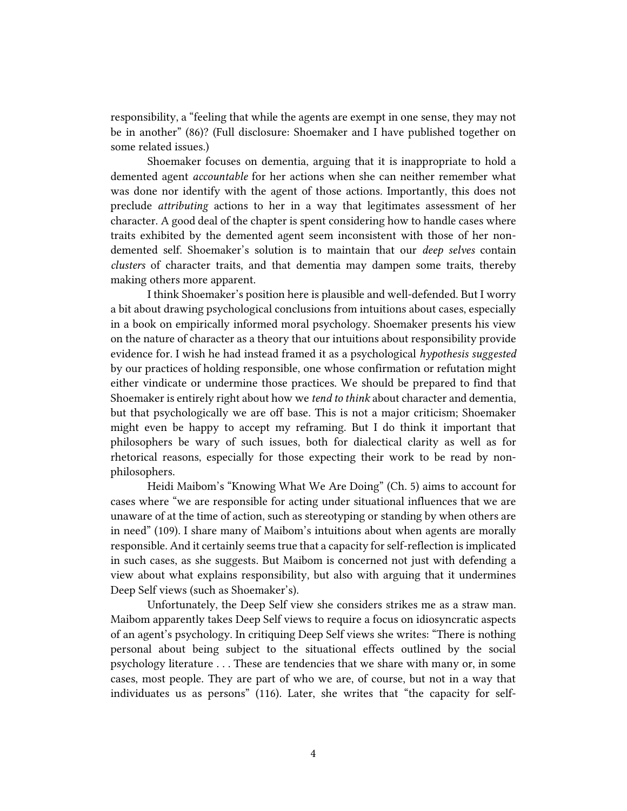responsibility, a "feeling that while the agents are exempt in one sense, they may not be in another" (86)? (Full disclosure: Shoemaker and I have published together on some related issues.)

Shoemaker focuses on dementia, arguing that it is inappropriate to hold a demented agent *accountable* for her actions when she can neither remember what was done nor identify with the agent of those actions. Importantly, this does not preclude *attributing* actions to her in a way that legitimates assessment of her character. A good deal of the chapter is spent considering how to handle cases where traits exhibited by the demented agent seem inconsistent with those of her nondemented self. Shoemaker's solution is to maintain that our *deep selves* contain *clusters* of character traits, and that dementia may dampen some traits, thereby making others more apparent.

I think Shoemaker's position here is plausible and well-defended. But I worry a bit about drawing psychological conclusions from intuitions about cases, especially in a book on empirically informed moral psychology. Shoemaker presents his view on the nature of character as a theory that our intuitions about responsibility provide evidence for. I wish he had instead framed it as a psychological *hypothesis suggested* by our practices of holding responsible, one whose confirmation or refutation might either vindicate or undermine those practices. We should be prepared to find that Shoemaker is entirely right about how we *tend to think* about character and dementia, but that psychologically we are off base. This is not a major criticism; Shoemaker might even be happy to accept my reframing. But I do think it important that philosophers be wary of such issues, both for dialectical clarity as well as for rhetorical reasons, especially for those expecting their work to be read by nonphilosophers.

Heidi Maibom's "Knowing What We Are Doing" (Ch. 5) aims to account for cases where "we are responsible for acting under situational influences that we are unaware of at the time of action, such as stereotyping or standing by when others are in need" (109). I share many of Maibom's intuitions about when agents are morally responsible. And it certainly seems true that a capacity for self-reflection is implicated in such cases, as she suggests. But Maibom is concerned not just with defending a view about what explains responsibility, but also with arguing that it undermines Deep Self views (such as Shoemaker's).

Unfortunately, the Deep Self view she considers strikes me as a straw man. Maibom apparently takes Deep Self views to require a focus on idiosyncratic aspects of an agent's psychology. In critiquing Deep Self views she writes: "There is nothing personal about being subject to the situational effects outlined by the social psychology literature . . . These are tendencies that we share with many or, in some cases, most people. They are part of who we are, of course, but not in a way that individuates us as persons" (116). Later, she writes that "the capacity for self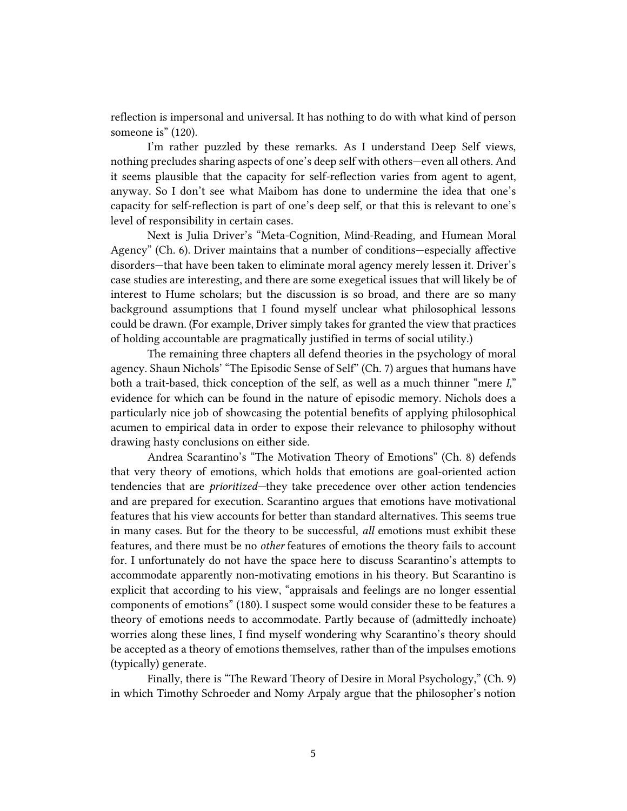reflection is impersonal and universal. It has nothing to do with what kind of person someone is" (120).

I'm rather puzzled by these remarks. As I understand Deep Self views, nothing precludes sharing aspects of one's deep self with others—even all others. And it seems plausible that the capacity for self-reflection varies from agent to agent, anyway. So I don't see what Maibom has done to undermine the idea that one's capacity for self-reflection is part of one's deep self, or that this is relevant to one's level of responsibility in certain cases.

Next is Julia Driver's "Meta-Cognition, Mind-Reading, and Humean Moral Agency" (Ch. 6). Driver maintains that a number of conditions—especially affective disorders—that have been taken to eliminate moral agency merely lessen it. Driver's case studies are interesting, and there are some exegetical issues that will likely be of interest to Hume scholars; but the discussion is so broad, and there are so many background assumptions that I found myself unclear what philosophical lessons could be drawn. (For example, Driver simply takes for granted the view that practices of holding accountable are pragmatically justified in terms of social utility.)

The remaining three chapters all defend theories in the psychology of moral agency. Shaun Nichols' "The Episodic Sense of Self" (Ch. 7) argues that humans have both a trait-based, thick conception of the self, as well as a much thinner "mere *I,*" evidence for which can be found in the nature of episodic memory. Nichols does a particularly nice job of showcasing the potential benefits of applying philosophical acumen to empirical data in order to expose their relevance to philosophy without drawing hasty conclusions on either side.

Andrea Scarantino's "The Motivation Theory of Emotions" (Ch. 8) defends that very theory of emotions, which holds that emotions are goal-oriented action tendencies that are *prioritized—*they take precedence over other action tendencies and are prepared for execution. Scarantino argues that emotions have motivational features that his view accounts for better than standard alternatives. This seems true in many cases. But for the theory to be successful, *all* emotions must exhibit these features, and there must be no *other* features of emotions the theory fails to account for. I unfortunately do not have the space here to discuss Scarantino's attempts to accommodate apparently non-motivating emotions in his theory. But Scarantino is explicit that according to his view, "appraisals and feelings are no longer essential components of emotions" (180). I suspect some would consider these to be features a theory of emotions needs to accommodate. Partly because of (admittedly inchoate) worries along these lines, I find myself wondering why Scarantino's theory should be accepted as a theory of emotions themselves, rather than of the impulses emotions (typically) generate.

Finally, there is "The Reward Theory of Desire in Moral Psychology," (Ch. 9) in which Timothy Schroeder and Nomy Arpaly argue that the philosopher's notion